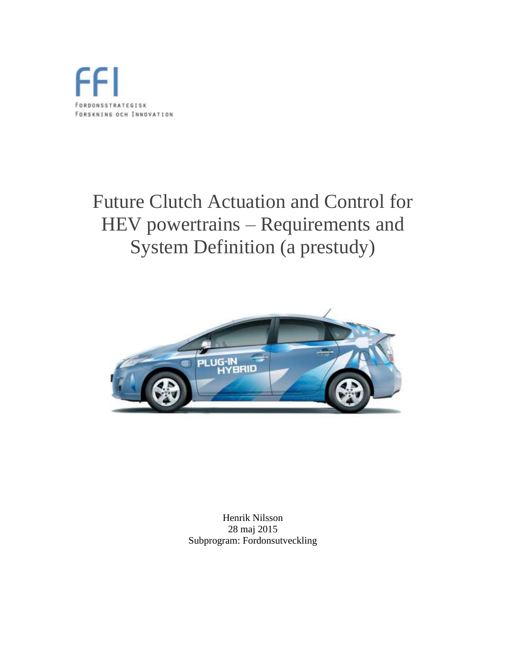

# Future Clutch Actuation and Control for HEV powertrains – Requirements and System Definition (a prestudy)



Henrik Nilsson 28 maj 2015 Subprogram: Fordonsutveckling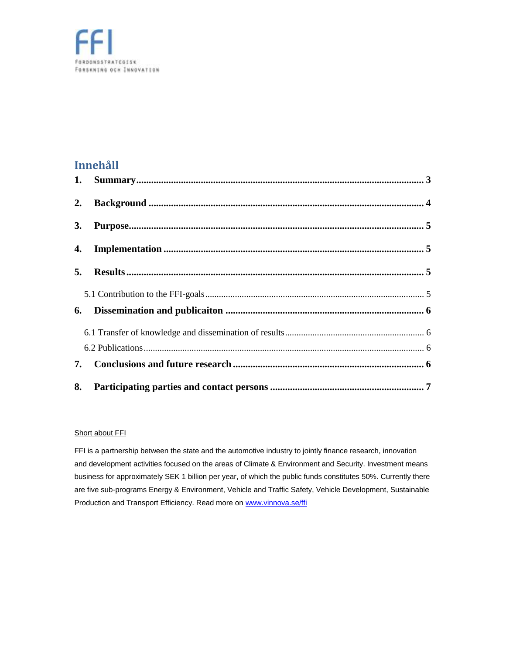#### **Innehåll**

| 2. |  |
|----|--|
| 3. |  |
|    |  |
|    |  |
|    |  |
| 6. |  |
|    |  |
|    |  |
| 7. |  |
| 8. |  |

#### Short about FFI

FFI is a partnership between the state and the automotive industry to jointly finance research, innovation and development activities focused on the areas of Climate & Environment and Security. Investment means business for approximately SEK 1 billion per year, of which the public funds constitutes 50%. Currently there are five sub-programs Energy & Environment, Vehicle and Traffic Safety, Vehicle Development, Sustainable Production and Transport Efficiency. Read more on [www.vinnova.se/ffi](http://www.vinnova.se/ffi)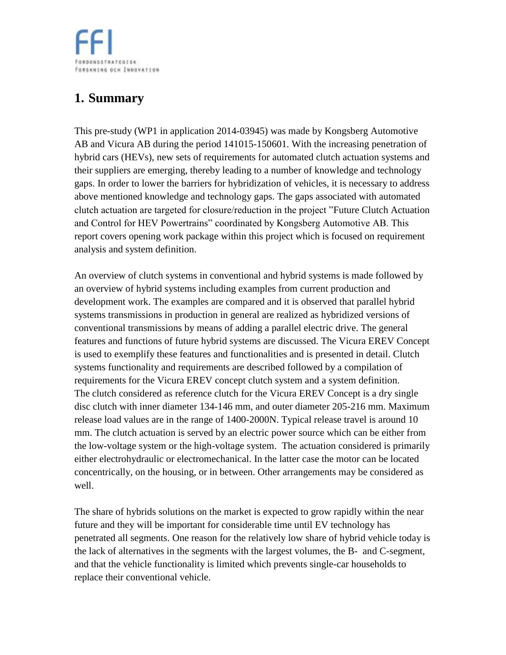**FORDONSSTRATEGISK** FORSKNING OCH INNOVATION

# <span id="page-2-0"></span>**1. Summary**

This pre-study (WP1 in application 2014-03945) was made by Kongsberg Automotive AB and Vicura AB during the period 141015-150601. With the increasing penetration of hybrid cars (HEVs), new sets of requirements for automated clutch actuation systems and their suppliers are emerging, thereby leading to a number of knowledge and technology gaps. In order to lower the barriers for hybridization of vehicles, it is necessary to address above mentioned knowledge and technology gaps. The gaps associated with automated clutch actuation are targeted for closure/reduction in the project "Future Clutch Actuation and Control for HEV Powertrains" coordinated by Kongsberg Automotive AB. This report covers opening work package within this project which is focused on requirement analysis and system definition.

An overview of clutch systems in conventional and hybrid systems is made followed by an overview of hybrid systems including examples from current production and development work. The examples are compared and it is observed that parallel hybrid systems transmissions in production in general are realized as hybridized versions of conventional transmissions by means of adding a parallel electric drive. The general features and functions of future hybrid systems are discussed. The Vicura EREV Concept is used to exemplify these features and functionalities and is presented in detail. Clutch systems functionality and requirements are described followed by a compilation of requirements for the Vicura EREV concept clutch system and a system definition. The clutch considered as reference clutch for the Vicura EREV Concept is a dry single disc clutch with inner diameter 134-146 mm, and outer diameter 205-216 mm. Maximum release load values are in the range of 1400-2000N. Typical release travel is around 10 mm. The clutch actuation is served by an electric power source which can be either from the low-voltage system or the high-voltage system. The actuation considered is primarily either electrohydraulic or electromechanical. In the latter case the motor can be located concentrically, on the housing, or in between. Other arrangements may be considered as well.

The share of hybrids solutions on the market is expected to grow rapidly within the near future and they will be important for considerable time until EV technology has penetrated all segments. One reason for the relatively low share of hybrid vehicle today is the lack of alternatives in the segments with the largest volumes, the B- and C-segment, and that the vehicle functionality is limited which prevents single-car households to replace their conventional vehicle.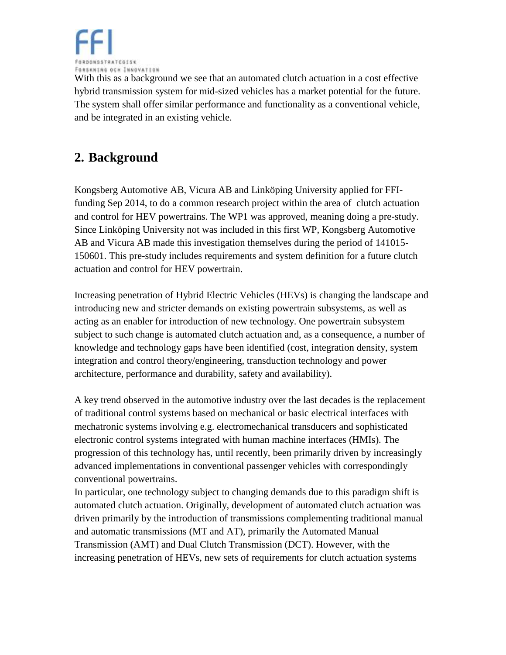

With this as a background we see that an automated clutch actuation in a cost effective hybrid transmission system for mid-sized vehicles has a market potential for the future. The system shall offer similar performance and functionality as a conventional vehicle, and be integrated in an existing vehicle.

## <span id="page-3-0"></span>**2. Background**

Kongsberg Automotive AB, Vicura AB and Linköping University applied for FFIfunding Sep 2014, to do a common research project within the area of clutch actuation and control for HEV powertrains. The WP1 was approved, meaning doing a pre-study. Since Linköping University not was included in this first WP, Kongsberg Automotive AB and Vicura AB made this investigation themselves during the period of 141015- 150601. This pre-study includes requirements and system definition for a future clutch actuation and control for HEV powertrain.

Increasing penetration of Hybrid Electric Vehicles (HEVs) is changing the landscape and introducing new and stricter demands on existing powertrain subsystems, as well as acting as an enabler for introduction of new technology. One powertrain subsystem subject to such change is automated clutch actuation and, as a consequence, a number of knowledge and technology gaps have been identified (cost, integration density, system integration and control theory/engineering, transduction technology and power architecture, performance and durability, safety and availability).

A key trend observed in the automotive industry over the last decades is the replacement of traditional control systems based on mechanical or basic electrical interfaces with mechatronic systems involving e.g. electromechanical transducers and sophisticated electronic control systems integrated with human machine interfaces (HMIs). The progression of this technology has, until recently, been primarily driven by increasingly advanced implementations in conventional passenger vehicles with correspondingly conventional powertrains.

In particular, one technology subject to changing demands due to this paradigm shift is automated clutch actuation. Originally, development of automated clutch actuation was driven primarily by the introduction of transmissions complementing traditional manual and automatic transmissions (MT and AT), primarily the Automated Manual Transmission (AMT) and Dual Clutch Transmission (DCT). However, with the increasing penetration of HEVs, new sets of requirements for clutch actuation systems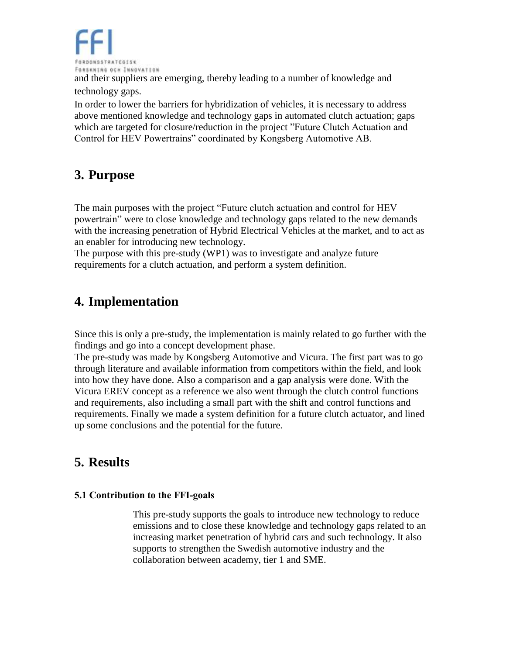

and their suppliers are emerging, thereby leading to a number of knowledge and technology gaps.

In order to lower the barriers for hybridization of vehicles, it is necessary to address above mentioned knowledge and technology gaps in automated clutch actuation; gaps which are targeted for closure/reduction in the project "Future Clutch Actuation and Control for HEV Powertrains" coordinated by Kongsberg Automotive AB.

### <span id="page-4-0"></span>**3. Purpose**

The main purposes with the project "Future clutch actuation and control for HEV powertrain" were to close knowledge and technology gaps related to the new demands with the increasing penetration of Hybrid Electrical Vehicles at the market, and to act as an enabler for introducing new technology.

The purpose with this pre-study (WP1) was to investigate and analyze future requirements for a clutch actuation, and perform a system definition.

## <span id="page-4-1"></span>**4. Implementation**

Since this is only a pre-study, the implementation is mainly related to go further with the findings and go into a concept development phase.

The pre-study was made by Kongsberg Automotive and Vicura. The first part was to go through literature and available information from competitors within the field, and look into how they have done. Also a comparison and a gap analysis were done. With the Vicura EREV concept as a reference we also went through the clutch control functions and requirements, also including a small part with the shift and control functions and requirements. Finally we made a system definition for a future clutch actuator, and lined up some conclusions and the potential for the future.

### <span id="page-4-2"></span>**5. Results**

#### <span id="page-4-3"></span>**5.1 Contribution to the FFI-goals**

This pre-study supports the goals to introduce new technology to reduce emissions and to close these knowledge and technology gaps related to an increasing market penetration of hybrid cars and such technology. It also supports to strengthen the Swedish automotive industry and the collaboration between academy, tier 1 and SME.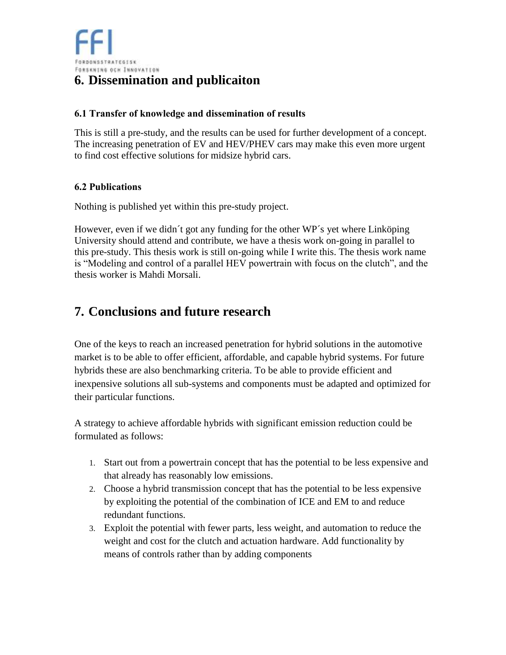#### <span id="page-5-1"></span><span id="page-5-0"></span>**6.1 Transfer of knowledge and dissemination of results**

This is still a pre-study, and the results can be used for further development of a concept. The increasing penetration of EV and HEV/PHEV cars may make this even more urgent to find cost effective solutions for midsize hybrid cars.

#### <span id="page-5-2"></span>**6.2 Publications**

Nothing is published yet within this pre-study project.

However, even if we didn´t got any funding for the other WP´s yet where Linköping University should attend and contribute, we have a thesis work on-going in parallel to this pre-study. This thesis work is still on-going while I write this. The thesis work name is "Modeling and control of a parallel HEV powertrain with focus on the clutch", and the thesis worker is Mahdi Morsali.

#### <span id="page-5-3"></span>**7. Conclusions and future research**

One of the keys to reach an increased penetration for hybrid solutions in the automotive market is to be able to offer efficient, affordable, and capable hybrid systems. For future hybrids these are also benchmarking criteria. To be able to provide efficient and inexpensive solutions all sub-systems and components must be adapted and optimized for their particular functions.

A strategy to achieve affordable hybrids with significant emission reduction could be formulated as follows:

- 1. Start out from a powertrain concept that has the potential to be less expensive and that already has reasonably low emissions.
- 2. Choose a hybrid transmission concept that has the potential to be less expensive by exploiting the potential of the combination of ICE and EM to and reduce redundant functions.
- 3. Exploit the potential with fewer parts, less weight, and automation to reduce the weight and cost for the clutch and actuation hardware. Add functionality by means of controls rather than by adding components